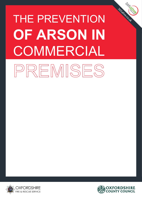# THE PREVENTION **OF ARSON IN** COMMERCIALPREMISES





365alive.co.uk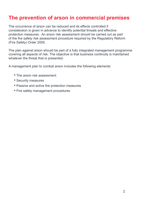# **The prevention of arson in commercial premises**

The occurrence of arson can be reduced and its effects controlled if consideraion is given in advance to identify potential threats and effective protection measures. An arson risk assessment should be carried out as part of the fire safety risk assessment procedure required by the Regulatory Reform (Fire Safety) Order 2005.

The plan against arson should be part of a fully integrated management programme covering all aspects of risk. The objective is that business continuity is maintained whatever the threat that is presented.

A management plan to combat arson includes the following elements:

- The arson risk assessment
- Security measures
- Passive and active fire protection measures
- Fire safety management procedures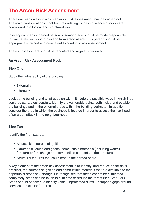# **The Arson Risk Assessment**

There are many ways in which an arson risk assessment may be carried out. The main consideration is that features relating to the occurrence of arson are considered in a logical and structured way.

In every company a named person of senior grade should be made responsible for fire safety, including protection from arson attack. This person should be appropriately trained and competent to conduct a risk assessment.

The risk assessment should be recorded and regularly reviewed.

## **An Arson Risk Assessment Model**

## **Step One**

Study the vulnerability of the building:

- Externally
- Internally

Look at the building and what goes on within it. Note the possible ways in which fires could be started deliberately. Identify the vulnerable points both inside and outside the buildings and in the external areas within the building perimeter. In addition, consider the area in which the business is located in order to assess the likelihood of an arson attack in the neighbourhood.

## **Step Two**

Identify the fire hazards:

- All possible sources of ignition
- Flammable liquids and gases, combustible materials (including waste), furniture or furnishings and combustible elements of the structure
- Structural features that could lead to the spread of fire

A key element of the arson risk assessment is to identify, and reduce as far as is practical, the sources of ignition and combustible materials that are available to the opportunist arsonist. Although it is recognised that these cannot be eliminated completely, steps can be taken to eliminate or reduce the threat (see Step Four). Steps should be taken to identify voids, unprotected ducts, unstopped gaps around services and similar features.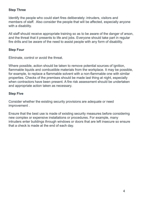## **Step Three**

Identify the people who could start fires deliberately: intruders, visitors and members of staff. Also consider the people that will be affected, especially anyone with a disability.

All staff should receive appropriate training so as to be aware of the danger of arson, and the threat that it presents to life and jobs. Everyone should take part in regular fire drills and be aware of the need to assist people with any form of disability.

## **Step Four**

Eliminate, control or avoid the threat.

Where possible, action should be taken to remove potential sources of ignition, flammable liquids and combustible materials from the workplace. It may be possible, for example, to replace a flammable solvent with a non-flammable one with similar properties. Checks of the premises should be made last thing at night, especially when contractors have been present. A fire risk assessment should be undertaken and appropriate action taken as necessary.

## **Step Five**

Consider whether the existing security provisions are adequate or need improvement .

Ensure that the best use is made of existing security measures before considering new complex or expensive installations or procedures. For example, many intruders enter buildings through windows or doors that are left insecure so ensure that a check is made at the end of each day.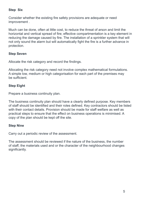## **Step Six**

Consider whether the existing fire safety provisions are adequate or need improvement .

Much can be done, often at little cost, to reduce the threat of arson and limit the horizontal and vertical spread of fire; effective compartmentation is a key element in reducing the damage caused by fire. The installation of a sprinkler system that will not only sound the alarm but will automatically fight the fire is a further advance in protection.

# **Step Seven**

Allocate the risk category and record the findings.

Allocating the risk category need not involve complex mathematical formulations. A simple low, medium or high categorisation for each part of the premises may be sufficient.

# **Step Eight**

Prepare a business continuity plan.

The business continuity plan should have a clearly defined purpose. Key members of staff should be identified and their roles defined. Key contractors should be listed with their contact details. Provision should be made for staff welfare as well as practical steps to ensure that the effect on business operations is minimised. A copy of the plan should be kept off the site.

## **Step Nine**

Carry out a periodic review of the assessment.

The assessment should be reviewed if the nature of the business, the number of staff, the materials used and or the character of the neighbourhood changes significantly.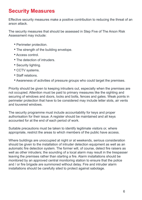# **Security Measures**

Effective security measures make a positive contribution to reducing the threat of an arson attack.

The security measures that should be assessed in Step Five of The Arson Risk Assessment may include:

- Perimeter protection.
- The strength of the building envelope.
- Access control.
- The detection of intruders.
- Security lighting.
- CCTV systems.
- Staff relations.
- Awareness of activities of pressure groups who could target the premises.

Priority should be given to keeping intruders out, especially when the premises are not occupied. Attention must be paid to primary measures like the sighting and securing of windows and doors, locks and bolts, fences and gates. Weak points in perimeter protection that have to be considered may include letter slots, air vents and louvered windows.

The security programme must include accountability for keys and proper authorisation for their issue. A register should be maintained and all keys accounted for at the end of each period of work.

Suitable precautions must be taken to identify legitimate visitors or, where appropriate, restrict the areas to which members of the public have access.

Where buildings are unoccupied at night or at weekends, serious consideration should be given to the installation of intruder detection equipment as well as an automatic fire detection system. The former will, of course, detect fire raisers as well as other intruders; the sounding of a local alarm may result in the trespasser leaving the premises rather than starting a fire. Alarm installations should be monitored by an approved central monitoring station to ensure that the police and / or fire brigade are summoned without delay. Fire and intruder alarm installations should be carefully sited to protect against sabotage.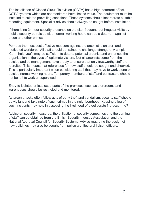The installation of Closed Circuit Television (CCTV) has a high deterrent effect. CCTV systems which are not monitored have limited value. The equipment must be installed to suit the prevailing conditions. These systems should incorporate suitable recording equipment. Specialist advice should always be sought before installation.

If there is no 24 hour security presence on the site, frequent, but irregular visits by mobile security patrols outside normal working hours can be a deterrent against arson and other crimes.

Perhaps the most cost effective measure against the arsonist is an alert and motivated workforce. All staff should be trained to challenge strangers. A simple 'Can I help you?' may be sufficient to deter a potential arsonist and enhances the organisation in the eyes of legitimate visitors. Not all arsonists come from the outside and so management have a duty to ensure that only trustworthy staff are recruited. This means that references for new staff should be sought and checked. This is particularly important when considering staff that may have to work alone or outside normal working hours. Temporary members of staff and contractors should not be left to work unsupervised.

Entry to isolated or less used parts of the premises, such as storerooms and warehouses should be restricted and monitored.

As arson attacks often follow acts of petty theft and vandalism, security staff should be vigilant and take note of such crimes in the neighbourhood. Keeping a log of such incidents may help in assessing the likelihood of a deliberate fire occurring?

Advice on security measures, the utilisation of security companies and the training of staff can be obtained from the British Security Industry Association and the National Approval Council for Security Systems. Advice regarding the design of new buildings may also be sought from police architectural liaison officers.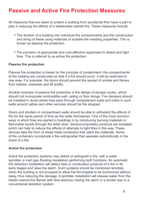# **Passive and Active Fire Protection Measures**

All measures that are taken to protect a building from accidental fires have a part to play in reducing the effects of a deliberately started fire. These measures include:

- The division of a building into individual fire compartments and the construction and lining of these using materials of suitable fire resisting properties. This is known as passive fire protection.
- The provision of appropriate and cost-effective equipment to detect and fight fires. This is referred to as active fire protection.

#### **Passive fire protection**

Passive fire protection is based on the principle of containment; the compartments of the building are constructed so that if a fire should occur, it will be restricted to one area. For example, fire doors should prevent the spread of smoke and flames from lobbies, stairwells and lift shafts.

Another example of passive fire protection is the design of escape routes, which should not incorporate combustible wall, ceiling or floor linings. Fire dampers should be installed in ducts where they pass through compartment walls and holes in such walls around cables and other services should be fire stopped.

Doors and shutters in compartment walls should be able to withstand the effects of fire for the same period of time as the walls themselves. One of the most common ways in which fires are started in buildings is by introducing burning materials or flammable liquids through the letter slots. Several proprietary products are available which can help to reduce the effects of attempts to light fires in this way. These devices take the form of sheet metal containers that catch the materials. Some of the containers incorporate a fire extinguisher that operates automatically in the event of a fire.

## **Active fire protection**

Active fire protection systems may detect or extinguish a fire, with a water sprinkler or inert gas flooding installation performing both functions. An automatic fire detection installation will detect heat or combustion products of a fire in its early stages and raise the alarm. Such systems should be monitored remotely when the building is not occupied to allow the fire brigade to be summoned without delay, thus reducing the damage. A sprinkler installation will release water from the heads nearest the flames with flow switches raising the alarm in a similar way to a conventional detection system.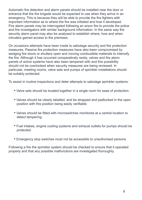Automatic fire detection and alarm panels should be installed near the door or entrance that the fire brigade would be expected to use when they arrive in an emergency. This is because they will be able to provide the fire fighters with important information as to where the fire was initiated and how it developed. Fire alarm panels may be interrogated following an arson fire to provide the police and fire investigators with similar background information. In the same way the security alarm panel may also be analysed to establish where, how and when intruders gained access to the premises.

On occasions attempts have been made to sabotage security and fire protection measures. Passive fire protection measures have also been compromised by wedging fire doors or shutters open and moving combustible materials to intensify the fire. Although it has occurred comparatively rarely, valves and fire alarm panels of active systems have also been tampered with and this possibility should not be overlooked when security measures are being reviewed. In particular, meeting rooms, valve sets and pumps of sprinkler installations should be suitably protected.

To assist in routine inspections and deter attempts to sabotage sprinkler systems:

- Valve sets should be located together in a single room for ease of protection.
- Valves should be clearly labelled, and be strapped and padlocked in the open position with this position being easily verifiable.
- Valves should be fitted with microswitches monitored at a central location to detect tampering.
- Fuel intakes, engine cooling systems and exhaust outlets for pumps should be protected.
- Emergency stop switches must not be accessible to unauthorised persons

Following a fire the sprinkler system should be checked to ensure that it operated properly and that any possible malfunctions are investigated thoroughly.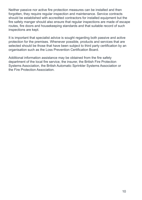Neither passive nor active fire protection measures can be installed and then forgotten, they require regular inspection and maintenance. Service contracts should be established with accredited contractors for installed equipment but the fire safety manger should also ensure that regular inspections are made of escape routes, fire doors and housekeeping standards and that suitable record of such inspections are kept.

It is important that specialist advice is sought regarding both passive and active protection for the premises. Whenever possible, products and services that are selected should be those that have been subject to third party certification by an organisation such as the Loss Prevention Certification Board.

Additional information assistance may be obtained from the fire safety department of the local fire service, the insurer, the British Fire Protection Systems Association, the British Automatic Sprinkler Systems Association or the Fire Protection Association.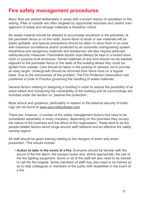# **Fire safety management procedures**

Many fires are started deliberately in areas with a known history of vandalism or fire setting. Piles of rubbish are often targeted by opportunist arsonists and careful management of waste and storage materials is therefore critical.

No waste material should be allowed to accumulate anywhere in the premises, at the perimeter fence or on the roofs. Some items of stock or raw materials will be easily ignitable, and special precautions should be taken to store them in an area with maximum surveillance and/or protected by an automatic extinguishing system. Hazardous and dangerous materials and substances will also require particular safety/security measures. Flammable liquids must always be kept in a locked store room or purpose built enclosure. Stored materials of any kind should not be stacked adjacent to the perimeter fence or the walls of the building where they could be ignited from outside. Care should be taken in the parking of vehicles not to provide an easy target. Undergrowth should be removed from fence lines on a regular basis. Due to the seriousness of the problem, The Fire Protection Association has published a Code of Practice governing the handling of waste materials.

Several factors relating to designing a building in order to reduce the possibility of an arson attack and monitoring the vulnerability of the building and its surroundings are included under the section on 'passive fire protection'.

More advice and guidance, particularly in relation to the external security of buildings can be found at www.securedbydesign.com

There are, however, a number of fire safety management factors that have to be considered separately in every company, depending on the premises they occupy the nature of the business and the ethos of the organisation. These tend to be the people-related factors which hinge around staff relations and an effective fire safety training regime.

All staff should be given training relating to the dangers of arson and arson prevention. This should include:

• **Action to take in the event of a fire.** Everyone should be familiar with the sound of the fire alarm, the escape routes and, where appropriate, the use of the fire fighting equipment. Some or all of the staff will also need to be trained to call the fire brigade. Some members of staff may also need to be trained so as to help colleagues or members of the public with disabilities in the event of a fire.